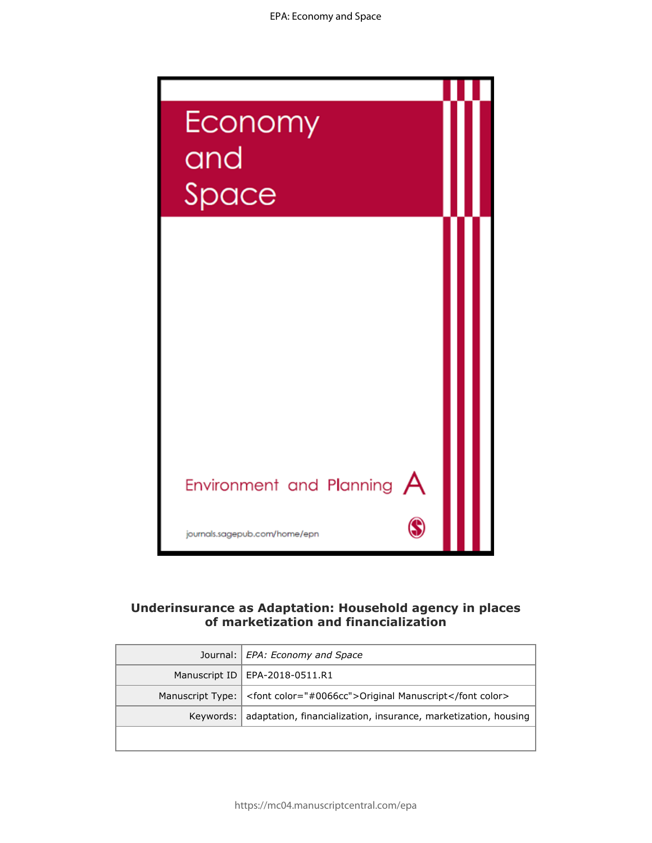

# **Underinsurance as Adaptation: Household agency in places of marketization and financialization**

| Journal:   EPA: Economy and Space                                           |
|-----------------------------------------------------------------------------|
| Manuscript ID   EPA-2018-0511.R1                                            |
| Manuscript Type:   <font color="#0066cc">Original Manuscript</font>         |
| Keywords:   adaptation, financialization, insurance, marketization, housing |
|                                                                             |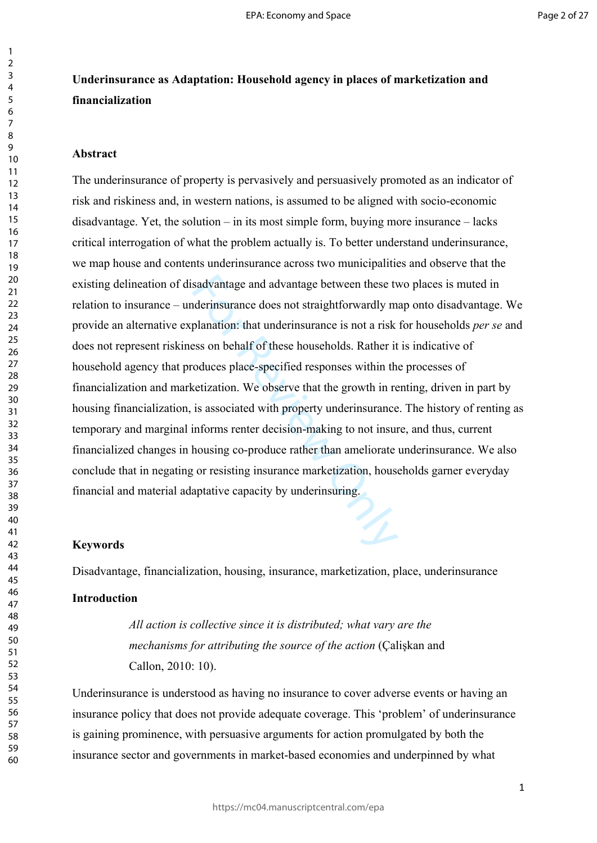# **Underinsurance as Adaptation: Household agency in places of marketization and financialization**

#### **Abstract**

sadvantage and advantage between these ty<br>derinsurance does not straightforwardly m<br>planation: that underinsurance is not a risk<br>ess on behalf of these households. Rather it<br>oduces place-specified responses within th<br>cetiz The underinsurance of property is pervasively and persuasively promoted as an indicator of risk and riskiness and, in western nations, is assumed to be aligned with socio-economic disadvantage. Yet, the solution – in its most simple form, buying more insurance – lacks critical interrogation of what the problem actually is. To better understand underinsurance, we map house and contents underinsurance across two municipalities and observe that the existing delineation of disadvantage and advantage between these two places is muted in relation to insurance – underinsurance does not straightforwardly map onto disadvantage. We provide an alternative explanation: that underinsurance is not a risk for households *per se* and does not represent riskiness on behalf of these households. Rather it is indicative of household agency that produces place-specified responses within the processes of financialization and marketization. We observe that the growth in renting, driven in part by housing financialization, is associated with property underinsurance. The history of renting as temporary and marginal informs renter decision-making to not insure, and thus, current financialized changes in housing co-produce rather than ameliorate underinsurance. We also conclude that in negating or resisting insurance marketization, households garner everyday financial and material adaptative capacity by underinsuring.

#### **Keywords**

Disadvantage, financialization, housing, insurance, marketization, place, underinsurance

### **Introduction**

*All action is collective since it is distributed; what vary are the mechanisms for attributing the source of the action* (Çalişkan and Callon, 2010: 10).

Underinsurance is understood as having no insurance to cover adverse events or having an insurance policy that does not provide adequate coverage. This 'problem' of underinsurance is gaining prominence, with persuasive arguments for action promulgated by both the insurance sector and governments in market-based economies and underpinned by what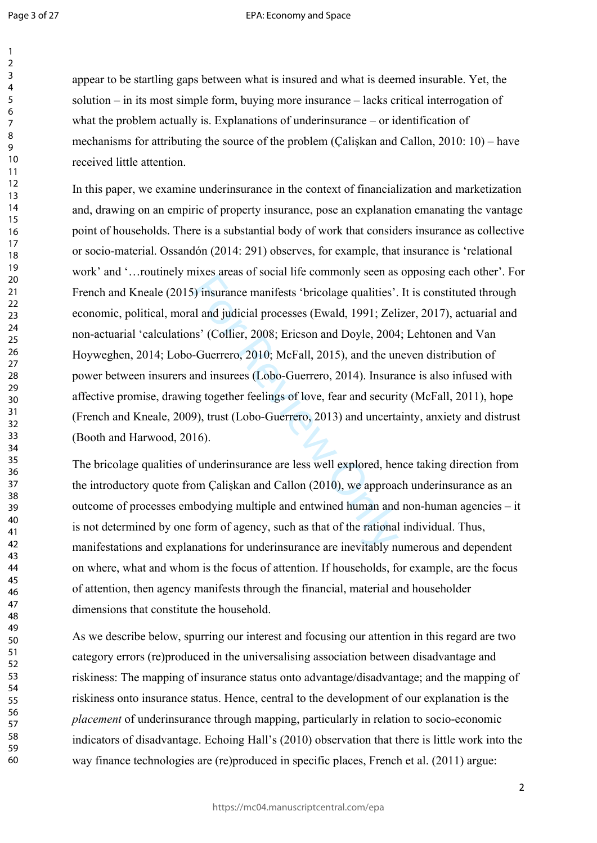$\mathbf{1}$  $\overline{2}$  $\overline{3}$  $\overline{4}$ 5 6  $\overline{7}$ 8 9

#### EPA: Economy and Space

appear to be startling gaps between what is insured and what is deemed insurable. Yet, the solution – in its most simple form, buying more insurance – lacks critical interrogation of what the problem actually is. Explanations of underinsurance – or identification of mechanisms for attributing the source of the problem (Çalişkan and Callon, 2010: 10) – have received little attention.

These areas of social five commonly seen as<br>
i) insurance manifests 'bricolage qualities'.<br>
al and judicial processes (Ewald, 1991; Zel:<br>
ns' (Collier, 2008; Ericson and Doyle, 2004<br>
-Guerrero, 2010; McFall, 2015), and the In this paper, we examine underinsurance in the context of financialization and marketization and, drawing on an empiric of property insurance, pose an explanation emanating the vantage point of households. There is a substantial body of work that considers insurance as collective or socio-material. Ossandón (2014: 291) observes, for example, that insurance is 'relational work' and '…routinely mixes areas of social life commonly seen as opposing each other'. For French and Kneale (2015) insurance manifests 'bricolage qualities'. It is constituted through economic, political, moral and judicial processes (Ewald, 1991; Zelizer, 2017), actuarial and non-actuarial 'calculations' (Collier, 2008; Ericson and Doyle, 2004; Lehtonen and Van Hoyweghen, 2014; Lobo-Guerrero, 2010; McFall, 2015), and the uneven distribution of power between insurers and insurees (Lobo-Guerrero, 2014). Insurance is also infused with affective promise, drawing together feelings of love, fear and security (McFall, 2011), hope (French and Kneale, 2009), trust (Lobo-Guerrero, 2013) and uncertainty, anxiety and distrust (Booth and Harwood, 2016).

The bricolage qualities of underinsurance are less well explored, hence taking direction from the introductory quote from Çalişkan and Callon (2010), we approach underinsurance as an outcome of processes embodying multiple and entwined human and non-human agencies – it is not determined by one form of agency, such as that of the rational individual. Thus, manifestations and explanations for underinsurance are inevitably numerous and dependent on where, what and whom is the focus of attention. If households, for example, are the focus of attention, then agency manifests through the financial, material and householder dimensions that constitute the household.

As we describe below, spurring our interest and focusing our attention in this regard are two category errors (re)produced in the universalising association between disadvantage and riskiness: The mapping of insurance status onto advantage/disadvantage; and the mapping of riskiness onto insurance status. Hence, central to the development of our explanation is the *placement* of underinsurance through mapping, particularly in relation to socio-economic indicators of disadvantage. Echoing Hall's (2010) observation that there is little work into the way finance technologies are (re)produced in specific places, French et al. (2011) argue: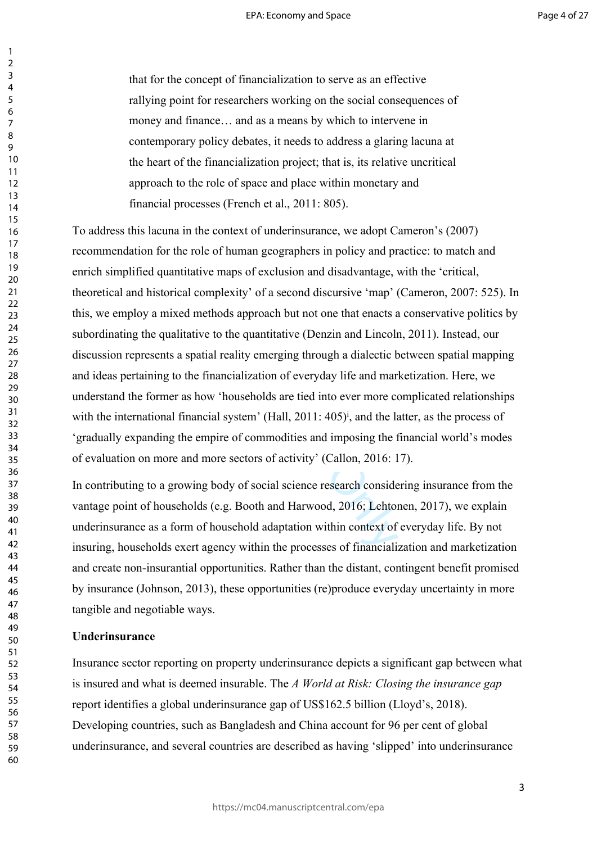that for the concept of financialization to serve as an effective rallying point for researchers working on the social consequences of money and finance… and as a means by which to intervene in contemporary policy debates, it needs to address a glaring lacuna at the heart of the financialization project; that is, its relative uncritical approach to the role of space and place within monetary and financial processes (French et al., 2011: 805).

complexity' of a second discursive 'map' (<br>methods approach but not one that enacts a<br>tive to the quantitative (Denzin and Lincoln<br>patial reality emerging through a dialectic be<br>financialization of everyday life and mar<br>ho To address this lacuna in the context of underinsurance, we adopt Cameron's (2007) recommendation for the role of human geographers in policy and practice: to match and enrich simplified quantitative maps of exclusion and disadvantage, with the 'critical, theoretical and historical complexity' of a second discursive 'map' (Cameron, 2007: 525). In this, we employ a mixed methods approach but not one that enacts a conservative politics by subordinating the qualitative to the quantitative (Denzin and Lincoln, 2011). Instead, our discussion represents a spatial reality emerging through a dialectic between spatial mapping and ideas pertaining to the financialization of everyday life and marketization. Here, we understand the former as how 'households are tied into ever more complicated relationships with the international financial system' (Hall,  $2011: 405$ )<sup>i</sup>, and the latter, as the process of 'gradually expanding the empire of commodities and imposing the financial world's modes of evaluation on more and more sectors of activity' (Callon, 2016: 17).

In contributing to a growing body of social science research considering insurance from the vantage point of households (e.g. Booth and Harwood, 2016; Lehtonen, 2017), we explain underinsurance as a form of household adaptation within context of everyday life. By not insuring, households exert agency within the processes of financialization and marketization and create non-insurantial opportunities. Rather than the distant, contingent benefit promised by insurance (Johnson, 2013), these opportunities (re)produce everyday uncertainty in more tangible and negotiable ways.

### **Underinsurance**

Insurance sector reporting on property underinsurance depicts a significant gap between what is insured and what is deemed insurable. The *A World at Risk: Closing the insurance gap* report identifies a global underinsurance gap of US\$162.5 billion (Lloyd's, 2018). Developing countries, such as Bangladesh and China account for 96 per cent of global underinsurance, and several countries are described as having 'slipped' into underinsurance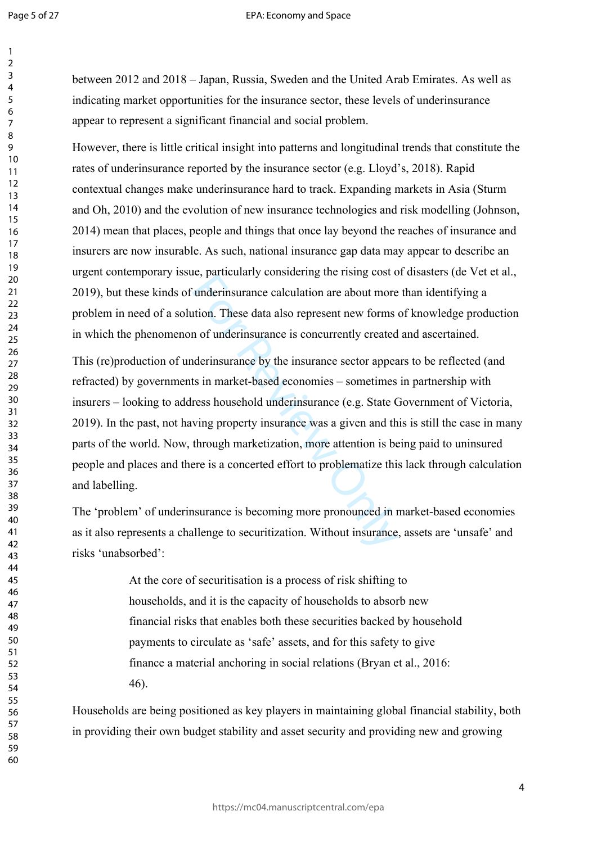$\mathbf{1}$  $\overline{2}$  $\overline{3}$  $\overline{4}$ 5 6  $\overline{7}$ 8 9

#### EPA: Economy and Space

between 2012 and 2018 – Japan, Russia, Sweden and the United Arab Emirates. As well as indicating market opportunities for the insurance sector, these levels of underinsurance appear to represent a significant financial and social problem.

However, there is little critical insight into patterns and longitudinal trends that constitute the rates of underinsurance reported by the insurance sector (e.g. Lloyd's, 2018). Rapid contextual changes make underinsurance hard to track. Expanding markets in Asia (Sturm and Oh, 2010) and the evolution of new insurance technologies and risk modelling (Johnson, 2014) mean that places, people and things that once lay beyond the reaches of insurance and insurers are now insurable. As such, national insurance gap data may appear to describe an urgent contemporary issue, particularly considering the rising cost of disasters (de Vet et al., 2019), but these kinds of underinsurance calculation are about more than identifying a problem in need of a solution. These data also represent new forms of knowledge production in which the phenomenon of underinsurance is concurrently created and ascertained.

e, particularly considering the rising cost is underinsurance calculation are about more<br>the more added as also represent new forms<br>of underinsurance is concurrently created<br>derinsurance by the insurance sector appear<br>ts i This (re)production of underinsurance by the insurance sector appears to be reflected (and refracted) by governments in market-based economies – sometimes in partnership with insurers – looking to address household underinsurance (e.g. State Government of Victoria, 2019). In the past, not having property insurance was a given and this is still the case in many parts of the world. Now, through marketization, more attention is being paid to uninsured people and places and there is a concerted effort to problematize this lack through calculation and labelling.

The 'problem' of underinsurance is becoming more pronounced in market-based economies as it also represents a challenge to securitization. Without insurance, assets are 'unsafe' and risks 'unabsorbed':

> At the core of securitisation is a process of risk shifting to households, and it is the capacity of households to absorb new financial risks that enables both these securities backed by household payments to circulate as 'safe' assets, and for this safety to give finance a material anchoring in social relations (Bryan et al., 2016: 46).

Households are being positioned as key players in maintaining global financial stability, both in providing their own budget stability and asset security and providing new and growing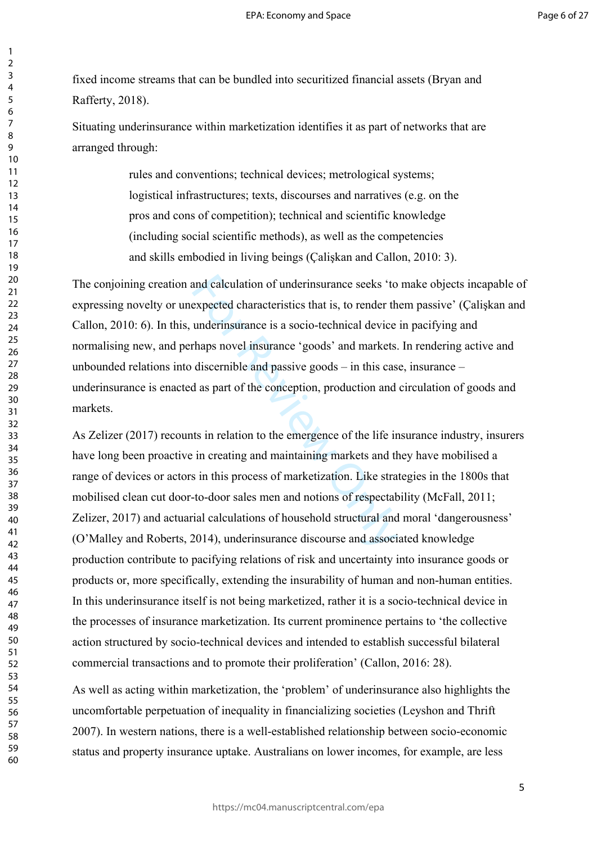fixed income streams that can be bundled into securitized financial assets (Bryan and Rafferty, 2018).

Situating underinsurance within marketization identifies it as part of networks that are arranged through:

> rules and conventions; technical devices; metrological systems; logistical infrastructures; texts, discourses and narratives (e.g. on the pros and cons of competition); technical and scientific knowledge (including social scientific methods), as well as the competencies and skills embodied in living beings (Çalişkan and Callon, 2010: 3).

and calculation of underinsurance seeks 'to<br>expected characteristics that is, to render th<br>underinsurance is a socio-technical device<br>thaps novel insurance 'goods' and markets.<br>discernible and passive goods – in this cas<br>d The conjoining creation and calculation of underinsurance seeks 'to make objects incapable of expressing novelty or unexpected characteristics that is, to render them passive' (Çalişkan and Callon, 2010: 6). In this, underinsurance is a socio-technical device in pacifying and normalising new, and perhaps novel insurance 'goods' and markets. In rendering active and unbounded relations into discernible and passive goods – in this case, insurance – underinsurance is enacted as part of the conception, production and circulation of goods and markets.

As Zelizer (2017) recounts in relation to the emergence of the life insurance industry, insurers have long been proactive in creating and maintaining markets and they have mobilised a range of devices or actors in this process of marketization. Like strategies in the 1800s that mobilised clean cut door-to-door sales men and notions of respectability (McFall, 2011; Zelizer, 2017) and actuarial calculations of household structural and moral 'dangerousness' (O'Malley and Roberts, 2014), underinsurance discourse and associated knowledge production contribute to pacifying relations of risk and uncertainty into insurance goods or products or, more specifically, extending the insurability of human and non-human entities. In this underinsurance itself is not being marketized, rather it is a socio-technical device in the processes of insurance marketization. Its current prominence pertains to 'the collective action structured by socio-technical devices and intended to establish successful bilateral commercial transactions and to promote their proliferation' (Callon, 2016: 28).

As well as acting within marketization, the 'problem' of underinsurance also highlights the uncomfortable perpetuation of inequality in financializing societies (Leyshon and Thrift 2007). In western nations, there is a well-established relationship between socio-economic status and property insurance uptake. Australians on lower incomes, for example, are less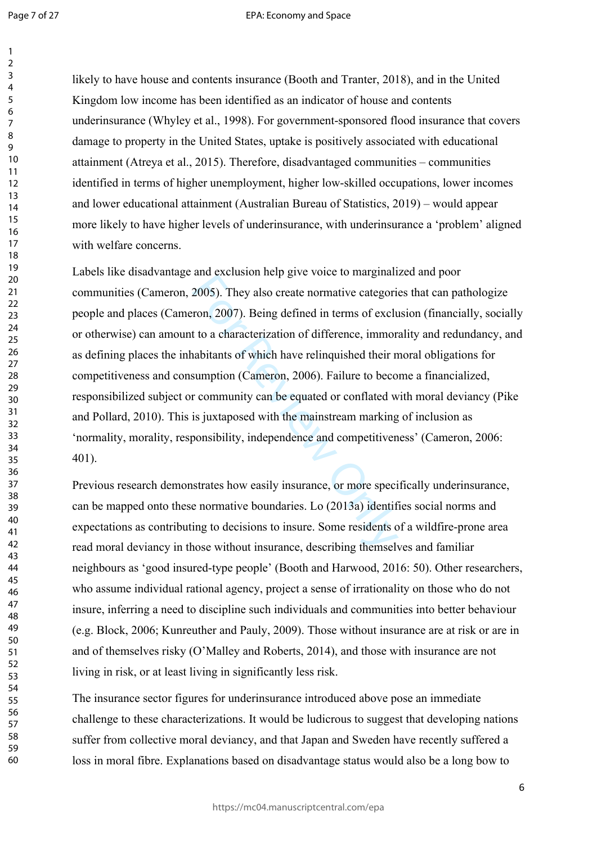Page 7 of 27

#### EPA: Economy and Space

60

likely to have house and contents insurance (Booth and Tranter, 2018), and in the United Kingdom low income has been identified as an indicator of house and contents underinsurance (Whyley et al., 1998). For government-sponsored flood insurance that covers damage to property in the United States, uptake is positively associated with educational attainment (Atreya et al., 2015). Therefore, disadvantaged communities – communities identified in terms of higher unemployment, higher low-skilled occupations, lower incomes and lower educational attainment (Australian Bureau of Statistics, 2019) – would appear more likely to have higher levels of underinsurance, with underinsurance a 'problem' aligned with welfare concerns.

and exerts for help give voice to marginant<br>2005). They also create normative categori<br>ron, 2007). Being defined in terms of exclu<br>t to a characterization of difference, immor<br>abitants of which have relinquished their n<br>su Labels like disadvantage and exclusion help give voice to marginalized and poor communities (Cameron, 2005). They also create normative categories that can pathologize people and places (Cameron, 2007). Being defined in terms of exclusion (financially, socially or otherwise) can amount to a characterization of difference, immorality and redundancy, and as defining places the inhabitants of which have relinquished their moral obligations for competitiveness and consumption (Cameron, 2006). Failure to become a financialized, responsibilized subject or community can be equated or conflated with moral deviancy (Pike and Pollard, 2010). This is juxtaposed with the mainstream marking of inclusion as 'normality, morality, responsibility, independence and competitiveness' (Cameron, 2006: 401).

Previous research demonstrates how easily insurance, or more specifically underinsurance, can be mapped onto these normative boundaries. Lo (2013a) identifies social norms and expectations as contributing to decisions to insure. Some residents of a wildfire-prone area read moral deviancy in those without insurance, describing themselves and familiar neighbours as 'good insured-type people' (Booth and Harwood, 2016: 50). Other researchers, who assume individual rational agency, project a sense of irrationality on those who do not insure, inferring a need to discipline such individuals and communities into better behaviour (e.g. Block, 2006; Kunreuther and Pauly, 2009). Those without insurance are at risk or are in and of themselves risky (O'Malley and Roberts, 2014), and those with insurance are not living in risk, or at least living in significantly less risk.

The insurance sector figures for underinsurance introduced above pose an immediate challenge to these characterizations. It would be ludicrous to suggest that developing nations suffer from collective moral deviancy, and that Japan and Sweden have recently suffered a loss in moral fibre. Explanations based on disadvantage status would also be a long bow to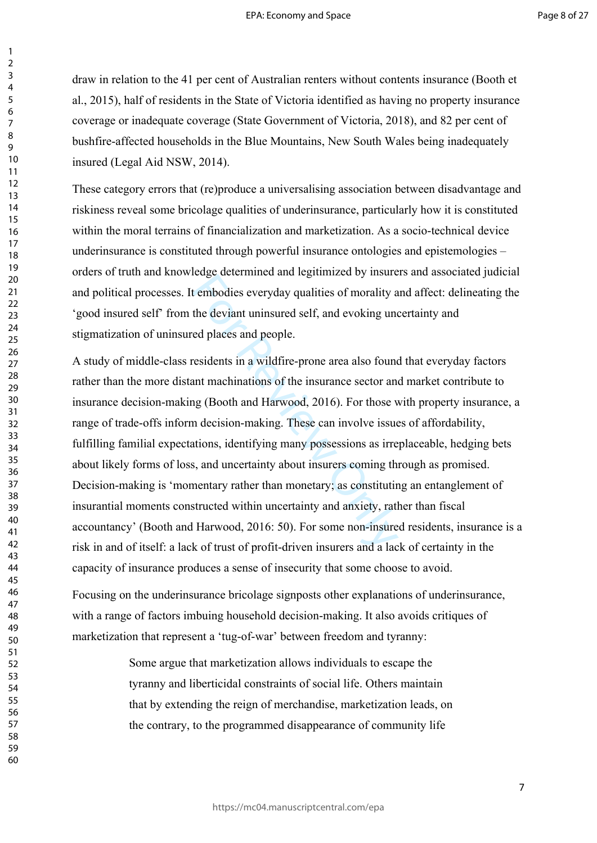draw in relation to the 41 per cent of Australian renters without contents insurance (Booth et al., 2015), half of residents in the State of Victoria identified as having no property insurance coverage or inadequate coverage (State Government of Victoria, 2018), and 82 per cent of bushfire-affected households in the Blue Mountains, New South Wales being inadequately insured (Legal Aid NSW, 2014).

These category errors that (re)produce a universalising association between disadvantage and riskiness reveal some bricolage qualities of underinsurance, particularly how it is constituted within the moral terrains of financialization and marketization. As a socio-technical device underinsurance is constituted through powerful insurance ontologies and epistemologies – orders of truth and knowledge determined and legitimized by insurers and associated judicial and political processes. It embodies everyday qualities of morality and affect: delineating the 'good insured self' from the deviant uninsured self, and evoking uncertainty and stigmatization of uninsured places and people.

relative and regiminized by insured end tembodies everyday qualities of morality a<br>the deviant uninsured self, and evoking uned places and people.<br>residents in a wildfire-prone area also found<br>ant machinations of the insur A study of middle-class residents in a wildfire-prone area also found that everyday factors rather than the more distant machinations of the insurance sector and market contribute to insurance decision-making (Booth and Harwood, 2016). For those with property insurance, a range of trade-offs inform decision-making. These can involve issues of affordability, fulfilling familial expectations, identifying many possessions as irreplaceable, hedging bets about likely forms of loss, and uncertainty about insurers coming through as promised. Decision-making is 'momentary rather than monetary; as constituting an entanglement of insurantial moments constructed within uncertainty and anxiety, rather than fiscal accountancy' (Booth and Harwood, 2016: 50). For some non-insured residents, insurance is a risk in and of itself: a lack of trust of profit-driven insurers and a lack of certainty in the capacity of insurance produces a sense of insecurity that some choose to avoid.

Focusing on the underinsurance bricolage signposts other explanations of underinsurance, with a range of factors imbuing household decision-making. It also avoids critiques of marketization that represent a 'tug-of-war' between freedom and tyranny:

> Some argue that marketization allows individuals to escape the tyranny and liberticidal constraints of social life. Others maintain that by extending the reign of merchandise, marketization leads, on the contrary, to the programmed disappearance of community life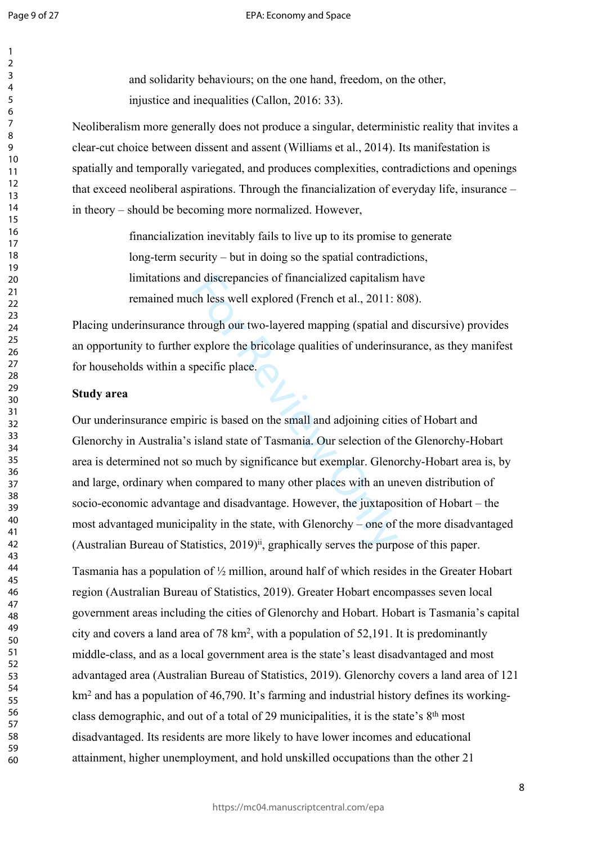$\mathbf{1}$  $\overline{2}$  $\overline{3}$  $\overline{4}$ 5 6  $\overline{7}$ 8 9

#### EPA: Economy and Space

and solidarity behaviours; on the one hand, freedom, on the other, injustice and inequalities (Callon, 2016: 33).

Neoliberalism more generally does not produce a singular, deterministic reality that invites a clear-cut choice between dissent and assent (Williams et al., 2014). Its manifestation is spatially and temporally variegated, and produces complexities, contradictions and openings that exceed neoliberal aspirations. Through the financialization of everyday life, insurance – in theory – should be becoming more normalized. However,

> financialization inevitably fails to live up to its promise to generate long-term security – but in doing so the spatial contradictions, limitations and discrepancies of financialized capitalism have remained much less well explored (French et al., 2011: 808).

Placing underinsurance through our two-layered mapping (spatial and discursive) provides an opportunity to further explore the bricolage qualities of underinsurance, as they manifest for households within a specific place.

### **Study area**

d discrepancies of financialized capitalism<br>ch less well explored (French et al., 2011: a<br>hrough our two-layered mapping (spatial an<br>explore the bricolage qualities of underinsi<br>pecific place.<br>iric is based on the small an Our underinsurance empiric is based on the small and adjoining cities of Hobart and Glenorchy in Australia's island state of Tasmania. Our selection of the Glenorchy-Hobart area is determined not so much by significance but exemplar. Glenorchy-Hobart area is, by and large, ordinary when compared to many other places with an uneven distribution of socio-economic advantage and disadvantage. However, the juxtaposition of Hobart – the most advantaged municipality in the state, with Glenorchy – one of the more disadvantaged (Australian Bureau of Statistics, 2019)<sup>ii</sup>, graphically serves the purpose of this paper.

Tasmania has a population of ½ million, around half of which resides in the Greater Hobart region (Australian Bureau of Statistics, 2019). Greater Hobart encompasses seven local government areas including the cities of Glenorchy and Hobart. Hobart is Tasmania's capital city and covers a land area of 78 km 2 , with a population of 52,191. It is predominantly middle-class, and as a local government area is the state's least disadvantaged and most advantaged area (Australian Bureau of Statistics, 2019). Glenorchy covers a land area of 121 km<sup>2</sup> and has a population of 46,790. It's farming and industrial history defines its workingclass demographic, and out of a total of 29 municipalities, it is the state's 8th most disadvantaged. Its residents are more likely to have lower incomes and educational attainment, higher unemployment, and hold unskilled occupations than the other 21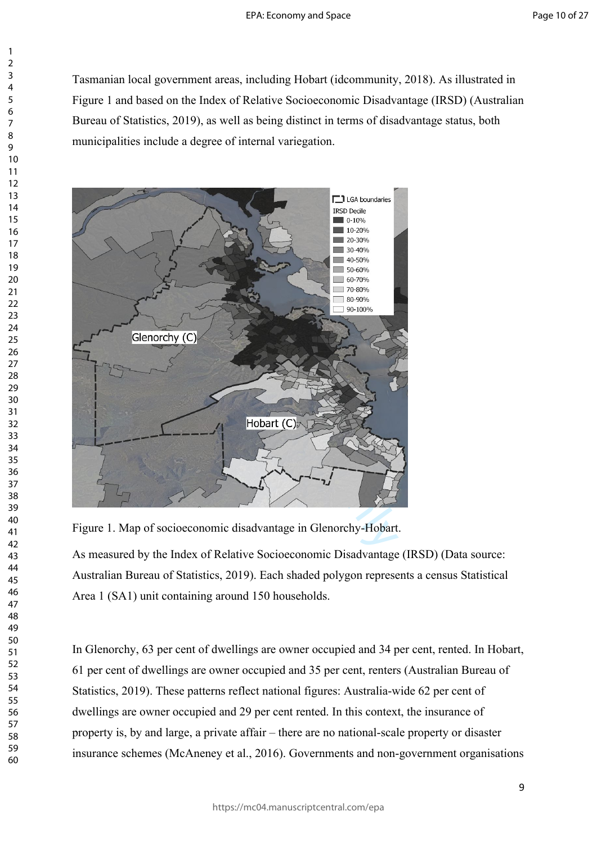Tasmanian local government areas, including Hobart (idcommunity, 2018). As illustrated in Figure 1 and based on the Index of Relative Socioeconomic Disadvantage (IRSD) (Australian Bureau of Statistics, 2019), as well as being distinct in terms of disadvantage status, both municipalities include a degree of internal variegation.



Figure 1. Map of socioeconomic disadvantage in Glenorchy-Hobart.

As measured by the Index of Relative Socioeconomic Disadvantage (IRSD) (Data source: Australian Bureau of Statistics, 2019). Each shaded polygon represents a census Statistical Area 1 (SA1) unit containing around 150 households.

In Glenorchy, 63 per cent of dwellings are owner occupied and 34 per cent, rented. In Hobart, 61 per cent of dwellings are owner occupied and 35 per cent, renters (Australian Bureau of Statistics, 2019). These patterns reflect national figures: Australia-wide 62 per cent of dwellings are owner occupied and 29 per cent rented. In this context, the insurance of property is, by and large, a private affair – there are no national-scale property or disaster insurance schemes (McAneney et al., 2016). Governments and non-government organisations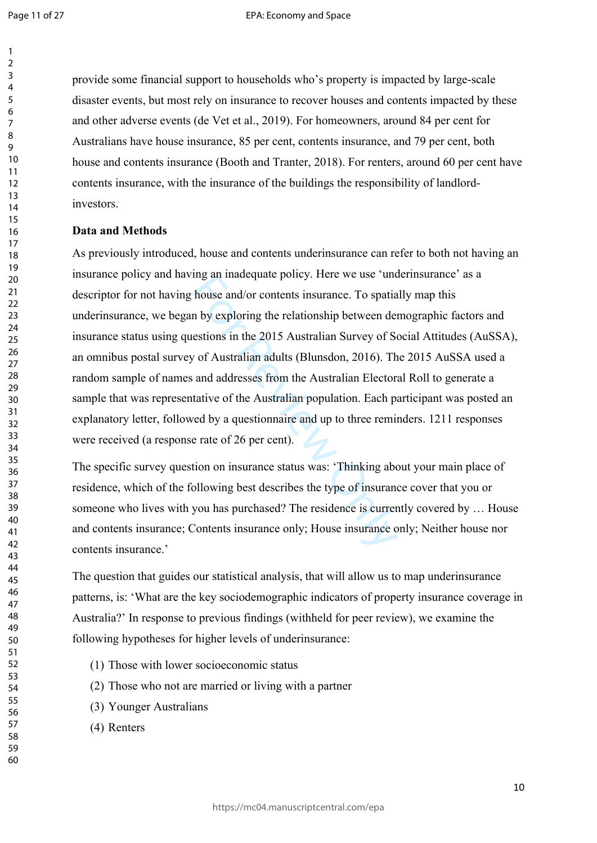$\mathbf{1}$  $\overline{2}$  $\overline{3}$  $\overline{4}$ 5 6  $\overline{7}$ 8 9

provide some financial support to households who's property is impacted by large-scale disaster events, but most rely on insurance to recover houses and contents impacted by these and other adverse events (de Vet et al., 2019). For homeowners, around 84 per cent for Australians have house insurance, 85 per cent, contents insurance, and 79 per cent, both house and contents insurance (Booth and Tranter, 2018). For renters, around 60 per cent have contents insurance, with the insurance of the buildings the responsibility of landlordinvestors.

### **Data and Methods**

Ing an inadequate poincy. Here we use uncomparate house and/or contents insurance. To spatia<br>In by exploring the relationship between derestions in the 2015 Australian Survey of Sc<br>v of Australian adults (Blunsdon, 2016). As previously introduced, house and contents underinsurance can refer to both not having an insurance policy and having an inadequate policy. Here we use 'underinsurance' as a descriptor for not having house and/or contents insurance. To spatially map this underinsurance, we began by exploring the relationship between demographic factors and insurance status using questions in the 2015 Australian Survey of Social Attitudes (AuSSA), an omnibus postal survey of Australian adults (Blunsdon, 2016). The 2015 AuSSA used a random sample of names and addresses from the Australian Electoral Roll to generate a sample that was representative of the Australian population. Each participant was posted an explanatory letter, followed by a questionnaire and up to three reminders. 1211 responses were received (a response rate of 26 per cent).

The specific survey question on insurance status was: 'Thinking about your main place of residence, which of the following best describes the type of insurance cover that you or someone who lives with you has purchased? The residence is currently covered by … House and contents insurance; Contents insurance only; House insurance only; Neither house nor contents insurance.'

The question that guides our statistical analysis, that will allow us to map underinsurance patterns, is: 'What are the key sociodemographic indicators of property insurance coverage in Australia?' In response to previous findings (withheld for peer review), we examine the following hypotheses for higher levels of underinsurance:

- (1) Those with lower socioeconomic status
- (2) Those who not are married or living with a partner
- (3) Younger Australians
- (4) Renters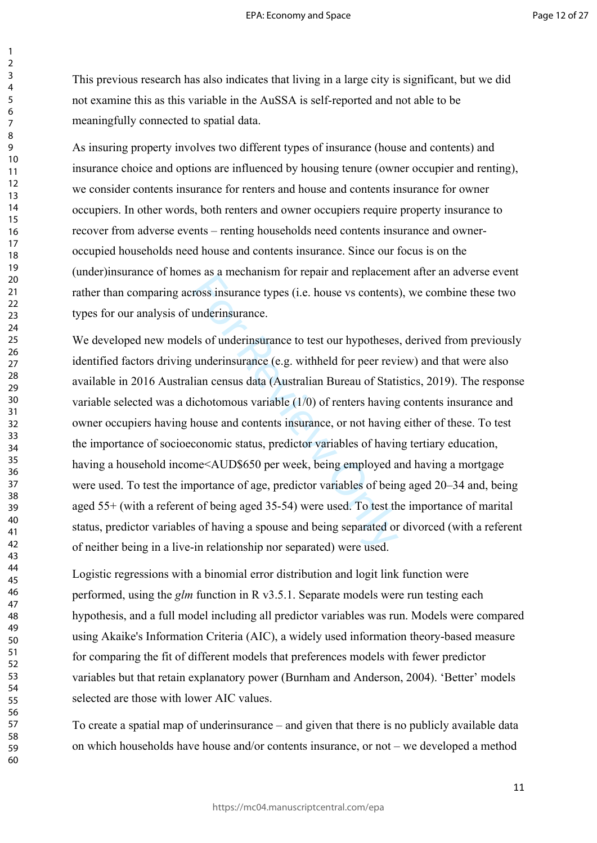This previous research has also indicates that living in a large city is significant, but we did not examine this as this variable in the AuSSA is self-reported and not able to be meaningfully connected to spatial data.

As insuring property involves two different types of insurance (house and contents) and insurance choice and options are influenced by housing tenure (owner occupier and renting), we consider contents insurance for renters and house and contents insurance for owner occupiers. In other words, both renters and owner occupiers require property insurance to recover from adverse events – renting households need contents insurance and owneroccupied households need house and contents insurance. Since our focus is on the (under)insurance of homes as a mechanism for repair and replacement after an adverse event rather than comparing across insurance types (i.e. house vs contents), we combine these two types for our analysis of underinsurance.

ross insurance types (i.e. house vs contents<br>ross insurance types (i.e. house vs contents<br>underinsurance.<br>ls of underinsurance to test our hypotheses<br>underinsurance (e.g. withheld for peer revi<br>ian census data (Australian We developed new models of underinsurance to test our hypotheses, derived from previously identified factors driving underinsurance (e.g. withheld for peer review) and that were also available in 2016 Australian census data (Australian Bureau of Statistics, 2019). The response variable selected was a dichotomous variable (1/0) of renters having contents insurance and owner occupiers having house and contents insurance, or not having either of these. To test the importance of socioeconomic status, predictor variables of having tertiary education, having a household income<AUD\$650 per week, being employed and having a mortgage were used. To test the importance of age, predictor variables of being aged 20–34 and, being aged 55+ (with a referent of being aged 35-54) were used. To test the importance of marital status, predictor variables of having a spouse and being separated or divorced (with a referent of neither being in a live-in relationship nor separated) were used.

Logistic regressions with a binomial error distribution and logit link function were performed, using the *glm* function in R v3.5.1. Separate models were run testing each hypothesis, and a full model including all predictor variables was run. Models were compared using Akaike's Information Criteria (AIC), a widely used information theory-based measure for comparing the fit of different models that preferences models with fewer predictor variables but that retain explanatory power (Burnham and Anderson, 2004). 'Better' models selected are those with lower AIC values.

To create a spatial map of underinsurance – and given that there is no publicly available data on which households have house and/or contents insurance, or not – we developed a method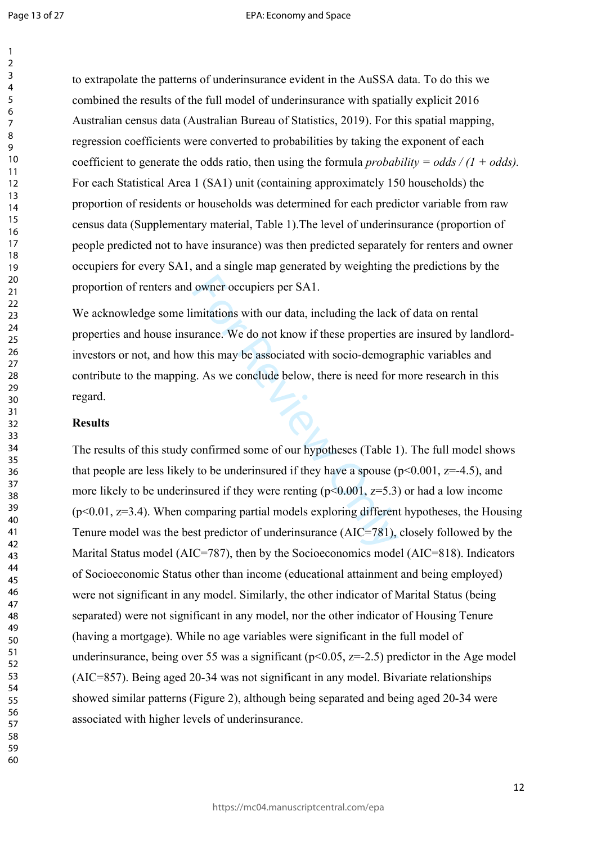$\mathbf{1}$ 

60

to extrapolate the patterns of underinsurance evident in the AuSSA data. To do this we combined the results of the full model of underinsurance with spatially explicit 2016 Australian census data (Australian Bureau of Statistics, 2019). For this spatial mapping, regression coefficients were converted to probabilities by taking the exponent of each coefficient to generate the odds ratio, then using the formula *probability = odds / (1 + odds).* For each Statistical Area 1 (SA1) unit (containing approximately 150 households) the proportion of residents or households was determined for each predictor variable from raw census data (Supplementary material, Table 1).The level of underinsurance (proportion of people predicted not to have insurance) was then predicted separately for renters and owner occupiers for every SA1, and a single map generated by weighting the predictions by the proportion of renters and owner occupiers per SA1.

We acknowledge some limitations with our data, including the lack of data on rental properties and house insurance. We do not know if these properties are insured by landlordinvestors or not, and how this may be associated with socio-demographic variables and contribute to the mapping. As we conclude below, there is need for more research in this regard.

#### **Results**

owner occupiers per SA1.<br>
imitations with our data, including the lack<br>
urance. We do not know if these properties<br>
z. As we conclude below, there is need for<br>
g. As we conclude below, there is need for<br>
confirmed some of The results of this study confirmed some of our hypotheses (Table 1). The full model shows that people are less likely to be underinsured if they have a spouse ( $p \le 0.001$ ,  $z = -4.5$ ), and more likely to be underinsured if they were renting  $(p<0.001, z=5.3)$  or had a low income  $(p<0.01, z=3.4)$ . When comparing partial models exploring different hypotheses, the Housing Tenure model was the best predictor of underinsurance (AIC=781), closely followed by the Marital Status model (AIC=787), then by the Socioeconomics model (AIC=818). Indicators of Socioeconomic Status other than income (educational attainment and being employed) were not significant in any model. Similarly, the other indicator of Marital Status (being separated) were not significant in any model, nor the other indicator of Housing Tenure (having a mortgage). While no age variables were significant in the full model of underinsurance, being over 55 was a significant ( $p<0.05$ ,  $z=-2.5$ ) predictor in the Age model (AIC=857). Being aged 20-34 was not significant in any model. Bivariate relationships showed similar patterns (Figure 2), although being separated and being aged 20-34 were associated with higher levels of underinsurance.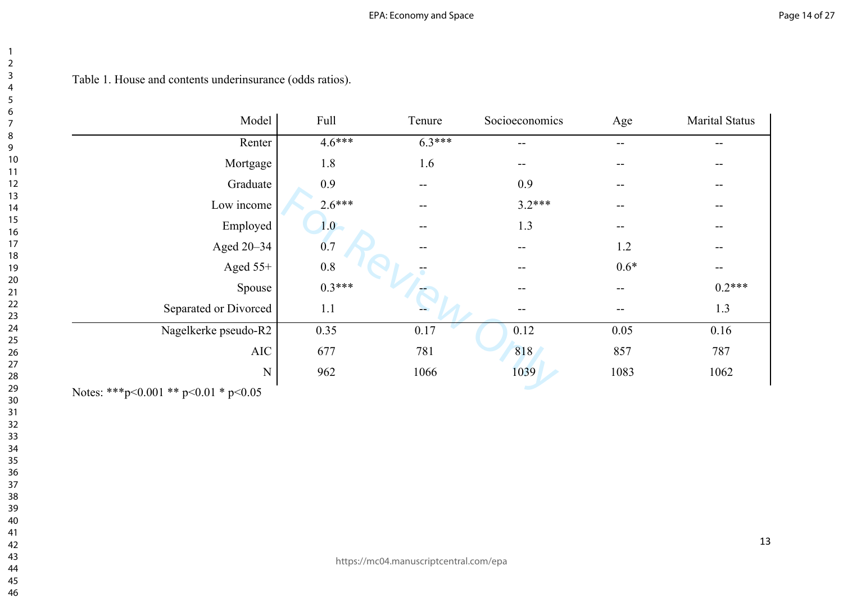# EPA: Economy and Space

# Table 1. House and contents underinsurance (odds ratios).

| Model                                | Full     | Tenure            | Socioeconomics    | Age    | <b>Marital Status</b>                 |
|--------------------------------------|----------|-------------------|-------------------|--------|---------------------------------------|
| Renter                               | $4.6***$ | $6.3***$          | --                | --     | --                                    |
| Mortgage                             | 1.8      | 1.6               | $- -$             | --     | --                                    |
| Graduate                             | 0.9      | $- -$             | 0.9               | --     | $\qquad \qquad -$                     |
| Low income                           | $2.6***$ | $\qquad \qquad -$ | $3.2***$          | --     | $\hspace{0.05cm}$ – $\hspace{0.05cm}$ |
| Employed                             | 1.0      | $--$              | 1.3               | --     | $- -$                                 |
| Aged 20–34                           | 0.7      | --                | --                | 1.2    | --                                    |
| Aged $55+$                           | 0.8      |                   | $\qquad \qquad -$ | $0.6*$ | $--$                                  |
| Spouse                               | $0.3***$ |                   | $\qquad \qquad -$ | --     | $0.2***$                              |
| Separated or Divorced                | 1.1      |                   |                   | --     | 1.3                                   |
| Nagelkerke pseudo-R2                 | 0.35     | 0.17              | 0.12              | 0.05   | 0.16                                  |
| AIC                                  | 677      | 781               | 818               | 857    | 787                                   |
| ${\bf N}$                            | 962      | 1066              | 1039              | 1083   | 1062                                  |
| Notes: ***p<0.001 ** p<0.01 * p<0.05 |          |                   |                   |        |                                       |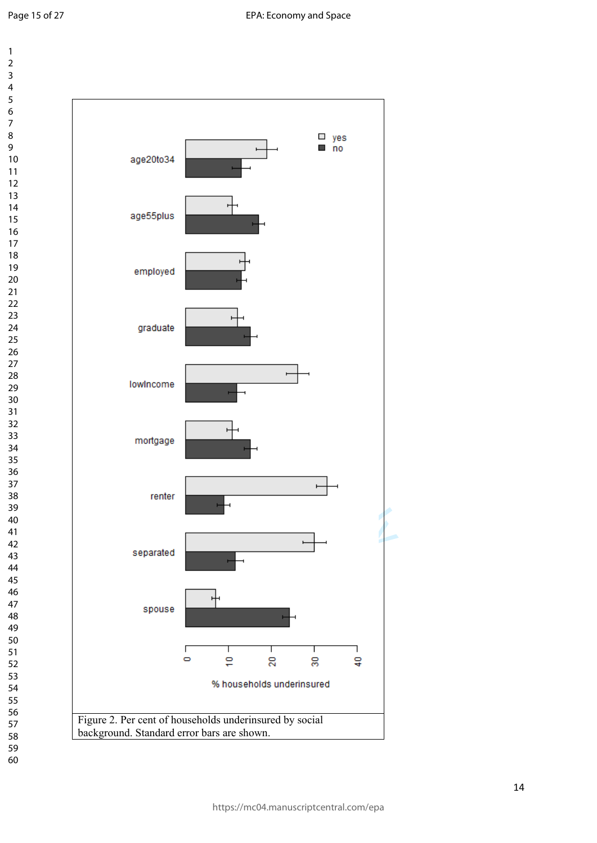

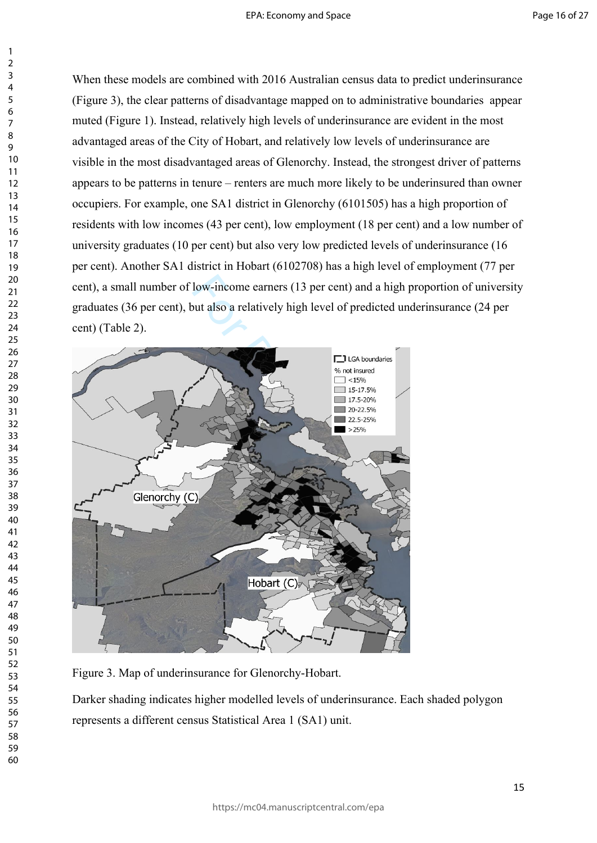When these models are combined with 2016 Australian census data to predict underinsurance (Figure 3), the clear patterns of disadvantage mapped on to administrative boundaries appear muted (Figure 1). Instead, relatively high levels of underinsurance are evident in the most advantaged areas of the City of Hobart, and relatively low levels of underinsurance are visible in the most disadvantaged areas of Glenorchy. Instead, the strongest driver of patterns appears to be patterns in tenure – renters are much more likely to be underinsured than owner occupiers. For example, one SA1 district in Glenorchy (6101505) has a high proportion of residents with low incomes (43 per cent), low employment (18 per cent) and a low number of university graduates (10 per cent) but also very low predicted levels of underinsurance (16 per cent). Another SA1 district in Hobart (6102708) has a high level of employment (77 per cent), a small number of low-income earners (13 per cent) and a high proportion of university graduates (36 per cent), but also a relatively high level of predicted underinsurance (24 per cent) (Table 2).



Figure 3. Map of underinsurance for Glenorchy-Hobart.

Darker shading indicates higher modelled levels of underinsurance. Each shaded polygon represents a different census Statistical Area 1 (SA1) unit.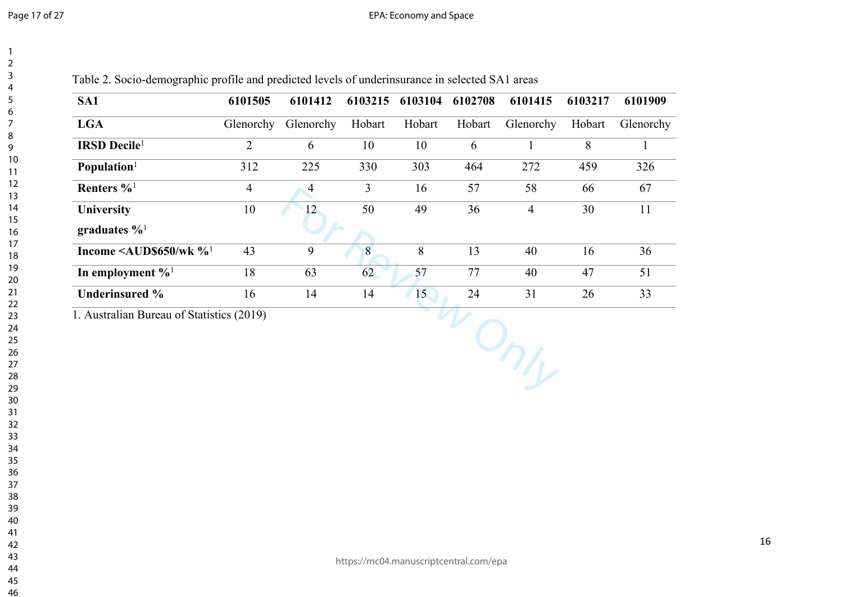| SA1                                         | 6101505        | 6101412        | 6103215        | 6103104 | 6102708 | 6101415        | 6103217 | 6101909   |
|---------------------------------------------|----------------|----------------|----------------|---------|---------|----------------|---------|-----------|
| <b>LGA</b>                                  | Glenorchy      | Glenorchy      | Hobart         | Hobart  | Hobart  | Glenorchy      | Hobart  | Glenorchy |
| <b>IRSD</b> Decile <sup>1</sup>             | $\overline{2}$ | 6              | 10             | 10      | 6       | $\mathbf{1}$   | 8       |           |
| Population <sup>1</sup>                     | 312            | 225            | 330            | 303     | 464     | 272            | 459     | 326       |
| Renters % <sup>1</sup>                      | $\overline{4}$ | $\overline{4}$ | $\overline{3}$ | 16      | 57      | 58             | 66      | 67        |
| <b>University</b>                           | 10             | 12             | 50             | 49      | 36      | $\overline{4}$ | 30      | 11        |
| graduates $\%$ <sup>1</sup>                 |                |                |                |         |         |                |         |           |
| Income $\leq$ AUD\$650/wk $\%$ <sup>1</sup> | 43             | 9              | 8              | 8       | 13      | 40             | 16      | 36        |
| In employment $\%$ <sup>1</sup>             | 18             | 63             | 62             | 57      | 77      | 40             | 47      | 51        |
| <b>Underinsured %</b>                       | 16             | 14             | 14             | 15      | 24      | 31             | 26      | 33        |
| 1. Australian Bureau of Statistics (2019)   |                |                |                |         |         |                |         |           |

https://mc04.manuscriptcentral.com/epa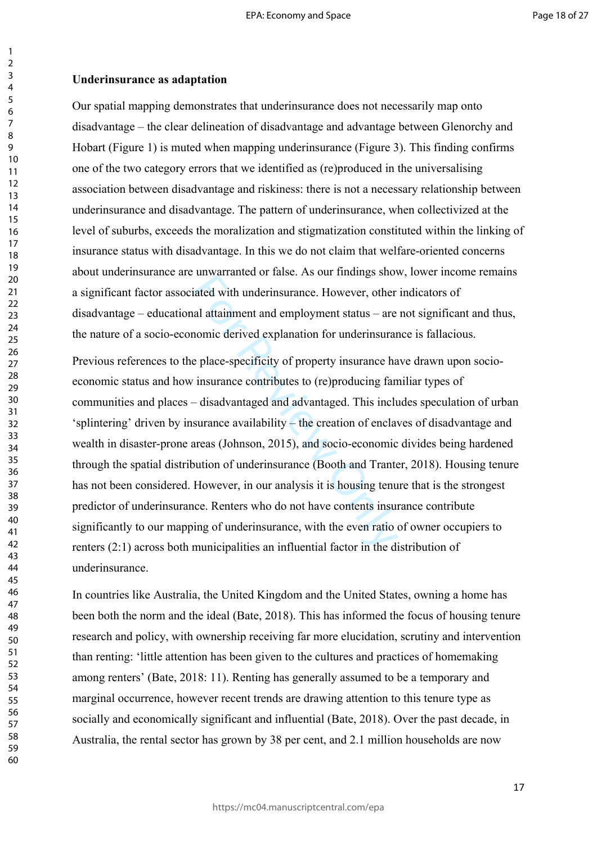## **Underinsurance as adaptation**

Our spatial mapping demonstrates that underinsurance does not necessarily map onto disadvantage – the clear delineation of disadvantage and advantage between Glenorchy and Hobart (Figure 1) is muted when mapping underinsurance (Figure 3). This finding confirms one of the two category errors that we identified as (re)produced in the universalising association between disadvantage and riskiness: there is not a necessary relationship between underinsurance and disadvantage. The pattern of underinsurance, when collectivized at the level of suburbs, exceeds the moralization and stigmatization constituted within the linking of insurance status with disadvantage. In this we do not claim that welfare-oriented concerns about underinsurance are unwarranted or false. As our findings show, lower income remains a significant factor associated with underinsurance. However, other indicators of disadvantage – educational attainment and employment status – are not significant and thus, the nature of a socio-economic derived explanation for underinsurance is fallacious.

diated with underinsurance. However, other<br>iated with underinsurance. However, other<br>al attainment and employment status – are<br>nomic derived explanation for underinsurar<br>e place-specificity of property insurance ha<br>insuran Previous references to the place-specificity of property insurance have drawn upon socioeconomic status and how insurance contributes to (re)producing familiar types of communities and places – disadvantaged and advantaged. This includes speculation of urban 'splintering' driven by insurance availability – the creation of enclaves of disadvantage and wealth in disaster-prone areas (Johnson, 2015), and socio-economic divides being hardened through the spatial distribution of underinsurance (Booth and Tranter, 2018). Housing tenure has not been considered. However, in our analysis it is housing tenure that is the strongest predictor of underinsurance. Renters who do not have contents insurance contribute significantly to our mapping of underinsurance, with the even ratio of owner occupiers to renters (2:1) across both municipalities an influential factor in the distribution of underinsurance.

In countries like Australia, the United Kingdom and the United States, owning a home has been both the norm and the ideal (Bate, 2018). This has informed the focus of housing tenure research and policy, with ownership receiving far more elucidation, scrutiny and intervention than renting: 'little attention has been given to the cultures and practices of homemaking among renters' (Bate, 2018: 11). Renting has generally assumed to be a temporary and marginal occurrence, however recent trends are drawing attention to this tenure type as socially and economically significant and influential (Bate, 2018). Over the past decade, in Australia, the rental sector has grown by 38 per cent, and 2.1 million households are now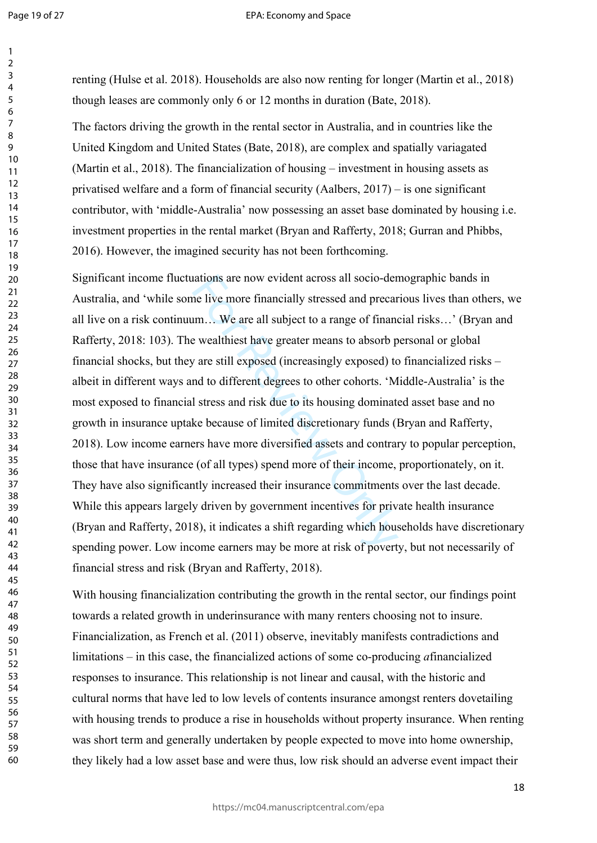$\mathbf{1}$ 

60

renting (Hulse et al. 2018). Households are also now renting for longer (Martin et al., 2018) though leases are commonly only 6 or 12 months in duration (Bate, 2018).

The factors driving the growth in the rental sector in Australia, and in countries like the United Kingdom and United States (Bate, 2018), are complex and spatially variagated (Martin et al., 2018). The financialization of housing – investment in housing assets as privatised welfare and a form of financial security (Aalbers, 2017) – is one significant contributor, with 'middle-Australia' now possessing an asset base dominated by housing i.e. investment properties in the rental market (Bryan and Rafferty, 2018; Gurran and Phibbs, 2016). However, the imagined security has not been forthcoming.

aations are now evident across all socio-der<br>ne live more financially stressed and precar<br>um... We are all subject to a range of finance<br>wealthiest have greater means to absorb p<br>*i* are still exposed (increasingly exposed Significant income fluctuations are now evident across all socio-demographic bands in Australia, and 'while some live more financially stressed and precarious lives than others, we all live on a risk continuum… We are all subject to a range of financial risks…' (Bryan and Rafferty, 2018: 103). The wealthiest have greater means to absorb personal or global financial shocks, but they are still exposed (increasingly exposed) to financialized risks – albeit in different ways and to different degrees to other cohorts. 'Middle-Australia' is the most exposed to financial stress and risk due to its housing dominated asset base and no growth in insurance uptake because of limited discretionary funds (Bryan and Rafferty, 2018). Low income earners have more diversified assets and contrary to popular perception, those that have insurance (of all types) spend more of their income, proportionately, on it. They have also significantly increased their insurance commitments over the last decade. While this appears largely driven by government incentives for private health insurance (Bryan and Rafferty, 2018), it indicates a shift regarding which households have discretionary spending power. Low income earners may be more at risk of poverty, but not necessarily of financial stress and risk (Bryan and Rafferty, 2018).

With housing financialization contributing the growth in the rental sector, our findings point towards a related growth in underinsurance with many renters choosing not to insure. Financialization, as French et al. (2011) observe, inevitably manifests contradictions and limitations – in this case, the financialized actions of some co-producing *a*financialized responses to insurance. This relationship is not linear and causal, with the historic and cultural norms that have led to low levels of contents insurance amongst renters dovetailing with housing trends to produce a rise in households without property insurance. When renting was short term and generally undertaken by people expected to move into home ownership, they likely had a low asset base and were thus, low risk should an adverse event impact their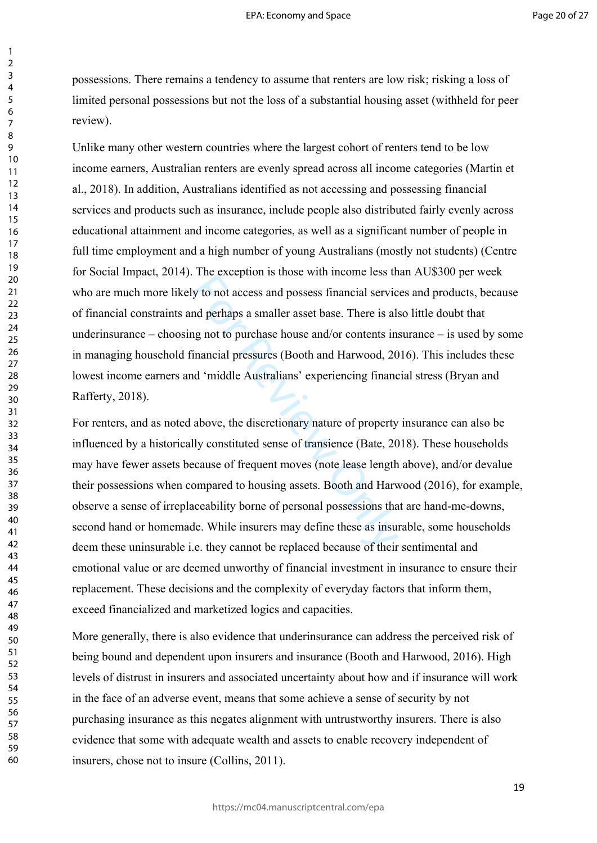possessions. There remains a tendency to assume that renters are low risk; risking a loss of limited personal possessions but not the loss of a substantial housing asset (withheld for peer review).

Unlike many other western countries where the largest cohort of renters tend to be low income earners, Australian renters are evenly spread across all income categories (Martin et al., 2018). In addition, Australians identified as not accessing and possessing financial services and products such as insurance, include people also distributed fairly evenly across educational attainment and income categories, as well as a significant number of people in full time employment and a high number of young Australians (mostly not students) (Centre for Social Impact, 2014). The exception is those with income less than AU\$300 per week who are much more likely to not access and possess financial services and products, because of financial constraints and perhaps a smaller asset base. There is also little doubt that underinsurance – choosing not to purchase house and/or contents insurance – is used by some in managing household financial pressures (Booth and Harwood, 2016). This includes these lowest income earners and 'middle Australians' experiencing financial stress (Bryan and Rafferty, 2018).

The exception is also what income less in<br>y to not access and possess financial service<br>and perhaps a smaller asset base. There is all<br>ignot to purchase house and/or contents in<br>financial pressures (Booth and Harwood, 20<br>d For renters, and as noted above, the discretionary nature of property insurance can also be influenced by a historically constituted sense of transience (Bate, 2018). These households may have fewer assets because of frequent moves (note lease length above), and/or devalue their possessions when compared to housing assets. Booth and Harwood (2016), for example, observe a sense of irreplaceability borne of personal possessions that are hand-me-downs, second hand or homemade. While insurers may define these as insurable, some households deem these uninsurable i.e. they cannot be replaced because of their sentimental and emotional value or are deemed unworthy of financial investment in insurance to ensure their replacement. These decisions and the complexity of everyday factors that inform them, exceed financialized and marketized logics and capacities.

More generally, there is also evidence that underinsurance can address the perceived risk of being bound and dependent upon insurers and insurance (Booth and Harwood, 2016). High levels of distrust in insurers and associated uncertainty about how and if insurance will work in the face of an adverse event, means that some achieve a sense of security by not purchasing insurance as this negates alignment with untrustworthy insurers. There is also evidence that some with adequate wealth and assets to enable recovery independent of insurers, chose not to insure (Collins, 2011).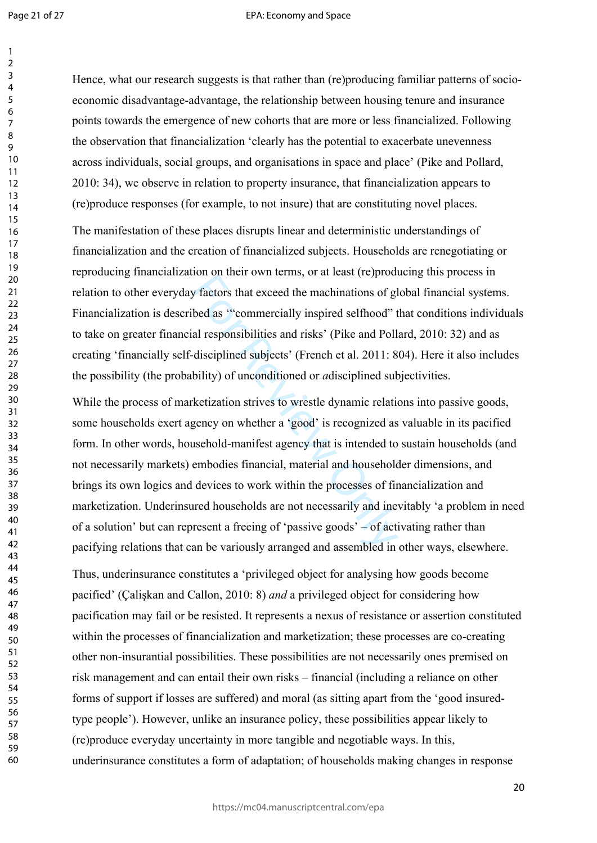Page 21 of 27

 $\mathbf{1}$ 

#### EPA: Economy and Space

60

Hence, what our research suggests is that rather than (re)producing familiar patterns of socioeconomic disadvantage-advantage, the relationship between housing tenure and insurance points towards the emergence of new cohorts that are more or less financialized. Following the observation that financialization 'clearly has the potential to exacerbate unevenness across individuals, social groups, and organisations in space and place' (Pike and Pollard, 2010: 34), we observe in relation to property insurance, that financialization appears to (re)produce responses (for example, to not insure) that are constituting novel places.

The manifestation of these places disrupts linear and deterministic understandings of financialization and the creation of financialized subjects. Households are renegotiating or reproducing financialization on their own terms, or at least (re)producing this process in relation to other everyday factors that exceed the machinations of global financial systems. Financialization is described as '"commercially inspired selfhood" that conditions individuals to take on greater financial responsibilities and risks' (Pike and Pollard, 2010: 32) and as creating 'financially self-disciplined subjects' (French et al. 2011: 804). Here it also includes the possibility (the probability) of unconditioned or *a*disciplined subjectivities.

bon on their own terms, or at least (to produce the machinations of globed as "commercially inspired selfhood" tal responsibilities and risks' (Pike and Poll disciplined subjects' (French et al. 2011: 8 bility) of uncondit While the process of marketization strives to wrestle dynamic relations into passive goods, some households exert agency on whether a 'good' is recognized as valuable in its pacified form. In other words, household-manifest agency that is intended to sustain households (and not necessarily markets) embodies financial, material and householder dimensions, and brings its own logics and devices to work within the processes of financialization and marketization. Underinsured households are not necessarily and inevitably 'a problem in need of a solution' but can represent a freeing of 'passive goods' – of activating rather than pacifying relations that can be variously arranged and assembled in other ways, elsewhere.

Thus, underinsurance constitutes a 'privileged object for analysing how goods become pacified' (Çalişkan and Callon, 2010: 8) *and* a privileged object for considering how pacification may fail or be resisted. It represents a nexus of resistance or assertion constituted within the processes of financialization and marketization; these processes are co-creating other non-insurantial possibilities. These possibilities are not necessarily ones premised on risk management and can entail their own risks – financial (including a reliance on other forms of support if losses are suffered) and moral (as sitting apart from the 'good insuredtype people'). However, unlike an insurance policy, these possibilities appear likely to (re)produce everyday uncertainty in more tangible and negotiable ways. In this, underinsurance constitutes a form of adaptation; of households making changes in response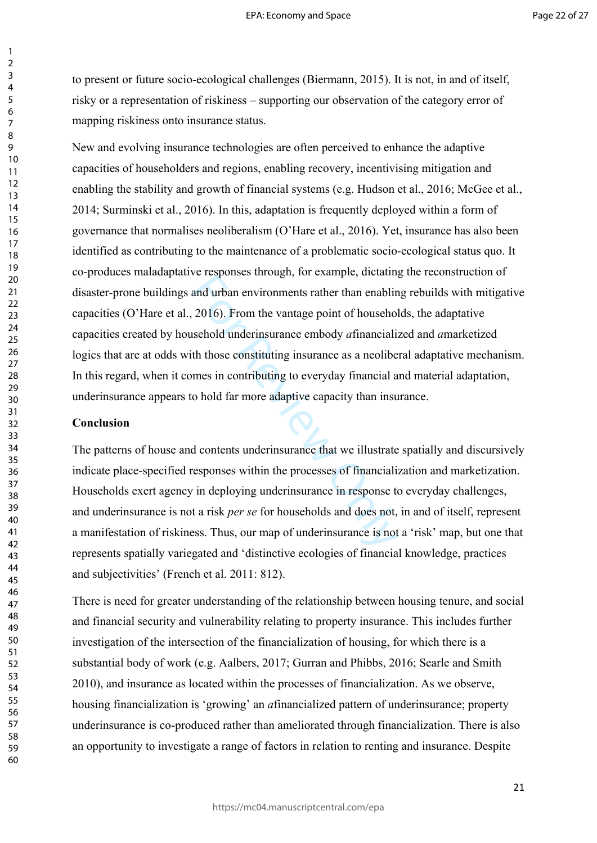to present or future socio-ecological challenges (Biermann, 2015). It is not, in and of itself, risky or a representation of riskiness – supporting our observation of the category error of mapping riskiness onto insurance status.

and urban environments rather than enablindurban environments rather than enablindurban environments rather than enablindurch sehold underinsurance embody *a* financialis th those constituting insurance as a neolibe mes in New and evolving insurance technologies are often perceived to enhance the adaptive capacities of householders and regions, enabling recovery, incentivising mitigation and enabling the stability and growth of financial systems (e.g. Hudson et al., 2016; McGee et al., 2014; Surminski et al., 2016). In this, adaptation is frequently deployed within a form of governance that normalises neoliberalism (O'Hare et al., 2016). Yet, insurance has also been identified as contributing to the maintenance of a problematic socio-ecological status quo. It co-produces maladaptative responses through, for example, dictating the reconstruction of disaster-prone buildings and urban environments rather than enabling rebuilds with mitigative capacities (O'Hare et al., 2016). From the vantage point of households, the adaptative capacities created by household underinsurance embody *a*financialized and *a*marketized logics that are at odds with those constituting insurance as a neoliberal adaptative mechanism. In this regard, when it comes in contributing to everyday financial and material adaptation, underinsurance appears to hold far more adaptive capacity than insurance.

### **Conclusion**

The patterns of house and contents underinsurance that we illustrate spatially and discursively indicate place-specified responses within the processes of financialization and marketization. Households exert agency in deploying underinsurance in response to everyday challenges, and underinsurance is not a risk *per se* for households and does not, in and of itself, represent a manifestation of riskiness. Thus, our map of underinsurance is not a 'risk' map, but one that represents spatially variegated and 'distinctive ecologies of financial knowledge, practices and subjectivities' (French et al. 2011: 812).

There is need for greater understanding of the relationship between housing tenure, and social and financial security and vulnerability relating to property insurance. This includes further investigation of the intersection of the financialization of housing, for which there is a substantial body of work (e.g. Aalbers, 2017; Gurran and Phibbs, 2016; Searle and Smith 2010), and insurance as located within the processes of financialization. As we observe, housing financialization is 'growing' an *a*financialized pattern of underinsurance; property underinsurance is co-produced rather than ameliorated through financialization. There is also an opportunity to investigate a range of factors in relation to renting and insurance. Despite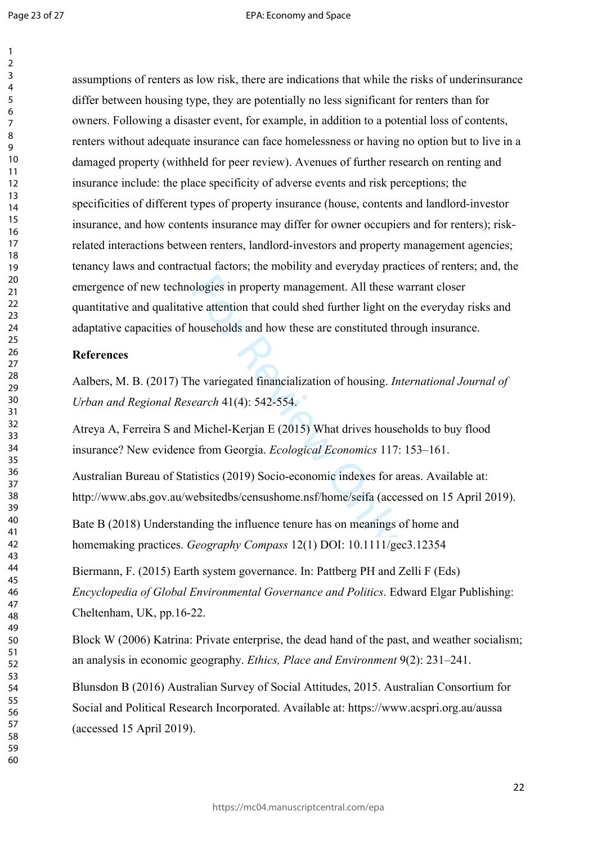$\mathbf{1}$ 

60

blogies in property management. All these ve attention that could shed further light on<br>nouseholds and how these are constituted th<br>nouseholds and how these are constituted th<br>ne variegated financialization of housing. *Ir* assumptions of renters as low risk, there are indications that while the risks of underinsurance differ between housing type, they are potentially no less significant for renters than for owners. Following a disaster event, for example, in addition to a potential loss of contents, renters without adequate insurance can face homelessness or having no option but to live in a damaged property (withheld for peer review). Avenues of further research on renting and insurance include: the place specificity of adverse events and risk perceptions; the specificities of different types of property insurance (house, contents and landlord-investor insurance, and how contents insurance may differ for owner occupiers and for renters); riskrelated interactions between renters, landlord-investors and property management agencies; tenancy laws and contractual factors; the mobility and everyday practices of renters; and, the emergence of new technologies in property management. All these warrant closer quantitative and qualitative attention that could shed further light on the everyday risks and adaptative capacities of households and how these are constituted through insurance.

### **References**

Aalbers, M. B. (2017) The variegated financialization of housing. *International Journal of Urban and Regional Research* 41(4): 542-554.

Atreya A, Ferreira S and Michel-Kerjan E (2015) What drives households to buy flood insurance? New evidence from Georgia. *Ecological Economics* 117: 153–161.

Australian Bureau of Statistics (2019) Socio-economic indexes for areas. Available at: http://www.abs.gov.au/websitedbs/censushome.nsf/home/seifa (accessed on 15 April 2019).

Bate B (2018) Understanding the influence tenure has on meanings of home and homemaking practices. *Geography Compass* 12(1) DOI: 10.1111/gec3.12354

Biermann, F. (2015) Earth system governance. In: Pattberg PH and Zelli F (Eds) *Encyclopedia of Global Environmental Governance and Politics*. Edward Elgar Publishing: Cheltenham, UK, pp.16-22.

Block W (2006) Katrina: Private enterprise, the dead hand of the past, and weather socialism; an analysis in economic geography. *Ethics, Place and Environment* 9(2): 231–241.

Blunsdon B (2016) Australian Survey of Social Attitudes, 2015. Australian Consortium for Social and Political Research Incorporated. Available at: https://www.acspri.org.au/aussa (accessed 15 April 2019).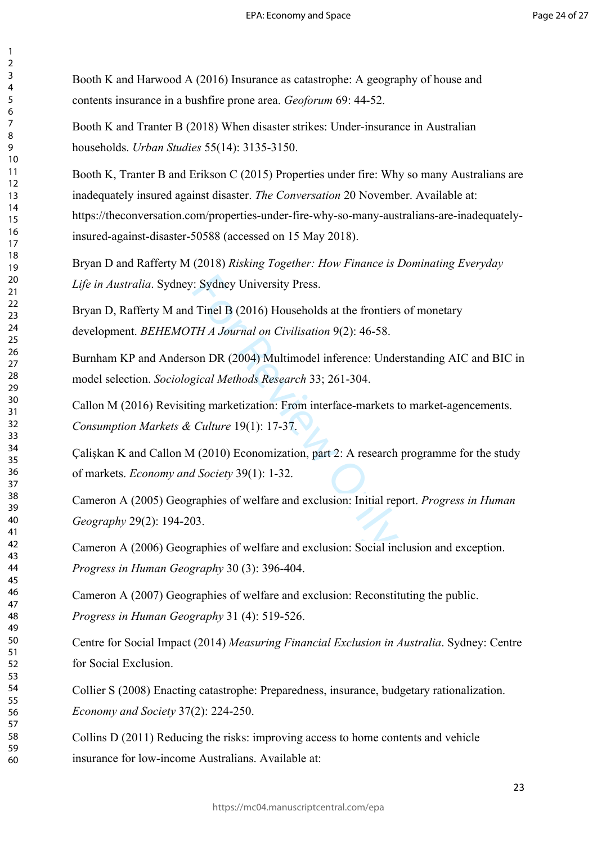Booth K and Harwood A (2016) Insurance as catastrophe: A geography of house and contents insurance in a bushfire prone area. *Geoforum* 69: 44-52.

Booth K and Tranter B (2018) When disaster strikes: Under-insurance in Australian households. *Urban Studies* 55(14): 3135-3150.

Booth K, Tranter B and Erikson C (2015) Properties under fire: Why so many Australians are inadequately insured against disaster. *The Conversation* 20 November. Available at: https://theconversation.com/properties-under-fire-why-so-many-australians-are-inadequatelyinsured-against-disaster-50588 (accessed on 15 May 2018).

Bryan D and Rafferty M (2018) *Risking Together: How Finance is Dominating Everyday Life in Australia*. Sydney: Sydney University Press.

Example 1: Sydney University Press.<br>
Finel B (2016) Households at the frontiers<br>
Finel B (2004) Multimodel inference: Undersident DR (2004) Multimodel inference: Undersident DR (2004) Multimodel inference: Undersident DR Bryan D, Rafferty M and Tinel B (2016) Households at the frontiers of monetary development. *BEHEMOTH A Journal on Civilisation* 9(2): 46-58.

Burnham KP and Anderson DR (2004) Multimodel inference: Understanding AIC and BIC in model selection. *Sociological Methods Research* 33; 261-304.

Callon M (2016) Revisiting marketization: From interface-markets to market-agencements. *Consumption Markets & Culture* 19(1): 17-37.

Çalişkan K and Callon M (2010) Economization, part 2: A research programme for the study of markets. *Economy and Society* 39(1): 1-32.

Cameron A (2005) Geographies of welfare and exclusion: Initial report. *Progress in Human Geography* 29(2): 194-203.

Cameron A (2006) Geographies of welfare and exclusion: Social inclusion and exception. *Progress in Human Geography* 30 (3): 396-404.

Cameron A (2007) Geographies of welfare and exclusion: Reconstituting the public. *Progress in Human Geography* 31 (4): 519-526.

Centre for Social Impact (2014) *Measuring Financial Exclusion in Australia*. Sydney: Centre for Social Exclusion.

Collier S (2008) Enacting catastrophe: Preparedness, insurance, budgetary rationalization. *Economy and Society* 37(2): 224-250.

Collins D (2011) Reducing the risks: improving access to home contents and vehicle insurance for low-income Australians. Available at: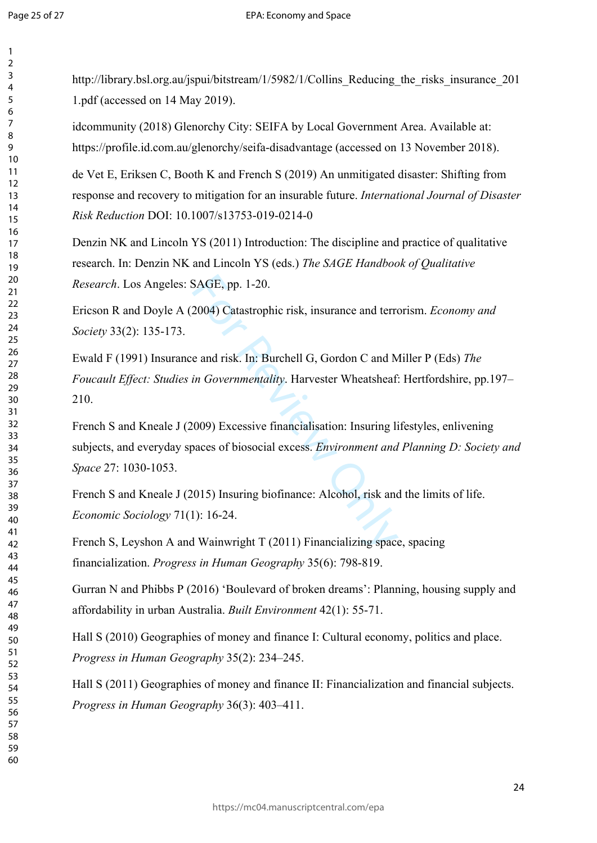$\mathbf{1}$ 

http://library.bsl.org.au/jspui/bitstream/1/5982/1/Collins Reducing the risks insurance 201 1.pdf (accessed on 14 May 2019).

idcommunity (2018) Glenorchy City: SEIFA by Local Government Area. Available at: https://profile.id.com.au/glenorchy/seifa-disadvantage (accessed on 13 November 2018).

de Vet E, Eriksen C, Booth K and French S (2019) An unmitigated disaster: Shifting from response and recovery to mitigation for an insurable future. *International Journal of Disaster Risk Reduction* DOI: 10.1007/s13753-019-0214-0

Denzin NK and Lincoln YS (2011) Introduction: The discipline and practice of qualitative research. In: Denzin NK and Lincoln YS (eds.) *The SAGE Handbook of Qualitative Research*. Los Angeles: SAGE, pp. 1-20.

Ericson R and Doyle A (2004) Catastrophic risk, insurance and terrorism. *Economy and Society* 33(2): 135-173.

SAGE, pp. 1-20.<br>2004) Catastrophic risk, insurance and terre<br>
e and risk. In: Burchell G, Gordon C and M<br>
in Governmentality. Harvester Wheatsheaf<br>
(009) Excessive financialisation: Insuring li<br>
paces of biosocial excess. Ewald F (1991) Insurance and risk. In: Burchell G, Gordon C and Miller P (Eds) *The Foucault Effect: Studies in Governmentality*. Harvester Wheatsheaf: Hertfordshire, pp.197– 210.

French S and Kneale J (2009) Excessive financialisation: Insuring lifestyles, enlivening subjects, and everyday spaces of biosocial excess. *Environment and Planning D: Society and Space* 27: 1030-1053.

French S and Kneale J (2015) Insuring biofinance: Alcohol, risk and the limits of life. *Economic Sociology* 71(1): 16-24.

French S, Leyshon A and Wainwright T (2011) Financializing space, spacing financialization. *Progress in Human Geography* 35(6): 798-819.

Gurran N and Phibbs P (2016) 'Boulevard of broken dreams': Planning, housing supply and affordability in urban Australia. *Built Environment* 42(1): 55-71.

Hall S (2010) Geographies of money and finance I: Cultural economy, politics and place. *Progress in Human Geography* 35(2): 234–245.

Hall S (2011) Geographies of money and finance II: Financialization and financial subjects. *Progress in Human Geography* 36(3): 403–411.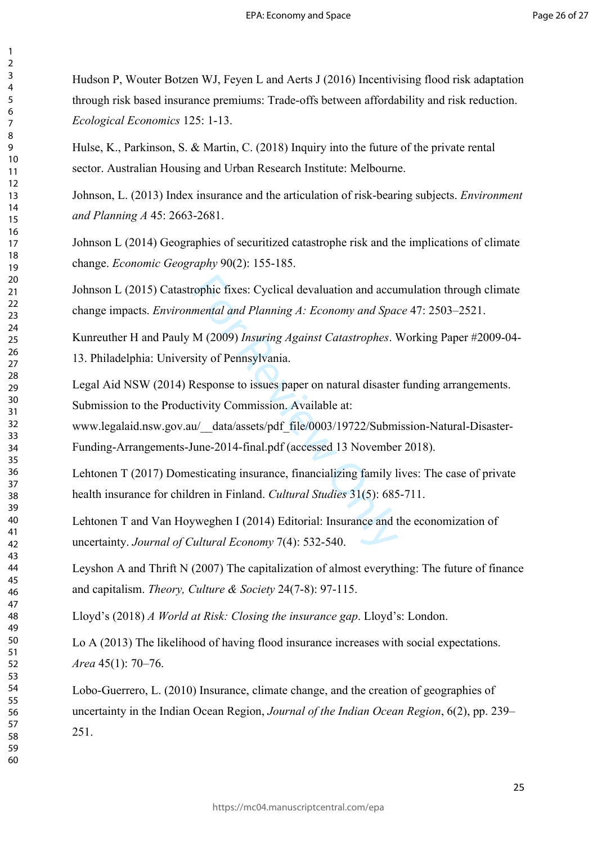Hudson P, Wouter Botzen WJ, Feyen L and Aerts J (2016) Incentivising flood risk adaptation through risk based insurance premiums: Trade-offs between affordability and risk reduction. *Ecological Economics* 125: 1-13.

Hulse, K., Parkinson, S. & Martin, C. (2018) Inquiry into the future of the private rental sector. Australian Housing and Urban Research Institute: Melbourne.

Johnson, L. (2013) Index insurance and the articulation of risk-bearing subjects. *Environment and Planning A* 45: 2663-2681.

Johnson L (2014) Geographies of securitized catastrophe risk and the implications of climate change. *Economic Geography* 90(2): 155-185.

rophic fixes: Cyclical devaluation and accu<br>mental and Planning A: Economy and Space<br>M (2009) Insuring Against Catastrophes. V<br>sity of Pennsylvania.<br>Response to issues paper on natural disaster<br>tivity Commission. Available Johnson L (2015) Catastrophic fixes: Cyclical devaluation and accumulation through climate change impacts. *Environmental and Planning A: Economy and Space* 47: 2503–2521.

Kunreuther H and Pauly M (2009) *Insuring Against Catastrophes*. Working Paper #2009-04- 13. Philadelphia: University of Pennsylvania.

Legal Aid NSW (2014) Response to issues paper on natural disaster funding arrangements. Submission to the Productivity Commission. Available at:

www.legalaid.nsw.gov.au/\_\_data/assets/pdf\_file/0003/19722/Submission-Natural-Disaster-Funding-Arrangements-June-2014-final.pdf (accessed 13 November 2018).

Lehtonen T (2017) Domesticating insurance, financializing family lives: The case of private health insurance for children in Finland. *Cultural Studies* 31(5): 685-711.

Lehtonen T and Van Hoyweghen I (2014) Editorial: Insurance and the economization of uncertainty. *Journal of Cultural Economy* 7(4): 532-540.

Leyshon A and Thrift N (2007) The capitalization of almost everything: The future of finance and capitalism. *Theory, Culture & Society* 24(7-8): 97-115.

Lloyd's (2018) *A World at Risk: Closing the insurance gap*. Lloyd's: London.

Lo A (2013) The likelihood of having flood insurance increases with social expectations. *Area* 45(1): 70–76.

Lobo-Guerrero, L. (2010) Insurance, climate change, and the creation of geographies of uncertainty in the Indian Ocean Region, *Journal of the Indian Ocean Region*, 6(2), pp. 239– 251.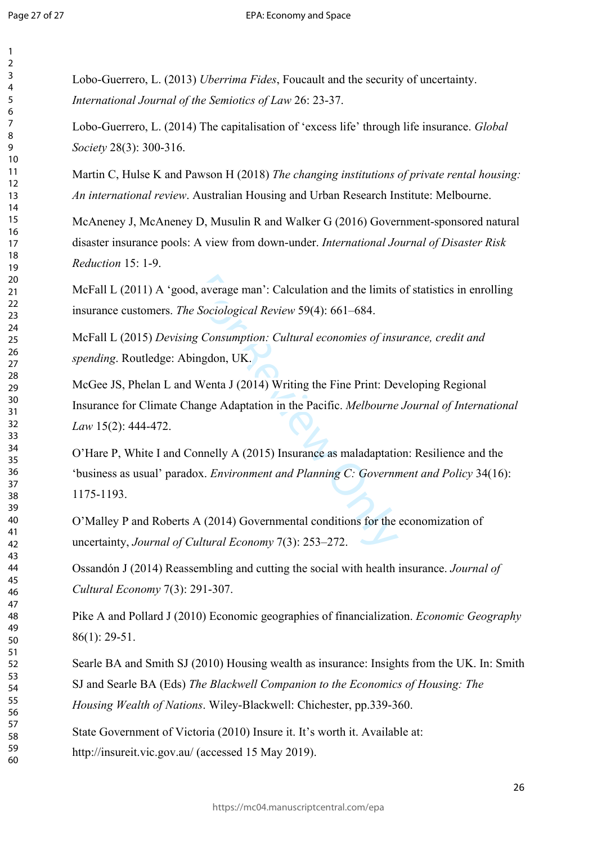$\mathbf{1}$  $\overline{2}$  $\overline{3}$  $\overline{4}$ 5 6  $\overline{7}$ 8 9

Lobo-Guerrero, L. (2013) *Uberrima Fides*, Foucault and the security of uncertainty. *International Journal of the Semiotics of Law* 26: 23-37.

Lobo-Guerrero, L. (2014) The capitalisation of 'excess life' through life insurance. *Global Society* 28(3): 300-316.

Martin C, Hulse K and Pawson H (2018) *The changing institutions of private rental housing: An international review*. Australian Housing and Urban Research Institute: Melbourne.

McAneney J, McAneney D, Musulin R and Walker G (2016) Government-sponsored natural disaster insurance pools: A view from down-under. *International Journal of Disaster Risk Reduction* 15: 1-9.

McFall L (2011) A 'good, average man': Calculation and the limits of statistics in enrolling insurance customers. *The Sociological Review* 59(4): 661–684.

McFall L (2015) *Devising Consumption: Cultural economies of insurance, credit and spending*. Routledge: Abingdon, UK.

McGee JS, Phelan L and Wenta J (2014) Writing the Fine Print: Developing Regional Insurance for Climate Change Adaptation in the Pacific. *Melbourne Journal of International Law* 15(2): 444-472.

I, average man': Calculation and the limits<br>
Exercitor Consumption: Cultural economies of inst<br>
ingdon, UK.<br>
Wenta J (2014) Writing the Fine Print: De<br>
anne Adaptation in the Pacific. Melbourne<br>
onnelly A (2015) Insurance O'Hare P, White I and Connelly A (2015) Insurance as maladaptation: Resilience and the 'business as usual' paradox. *Environment and Planning C: Government and Policy* 34(16): 1175-1193.

O'Malley P and Roberts A (2014) Governmental conditions for the economization of uncertainty, *Journal of Cultural Economy* 7(3): 253–272.

Ossandón J (2014) Reassembling and cutting the social with health insurance. *Journal of Cultural Economy* 7(3): 291-307.

Pike A and Pollard J (2010) Economic geographies of financialization. *Economic Geography*  86(1): 29-51.

Searle BA and Smith SJ (2010) Housing wealth as insurance: Insights from the UK. In: Smith SJ and Searle BA (Eds) *The Blackwell Companion to the Economics of Housing: The Housing Wealth of Nations*. Wiley-Blackwell: Chichester, pp.339-360.

State Government of Victoria (2010) Insure it. It's worth it. Available at: http://insureit.vic.gov.au/ (accessed 15 May 2019).